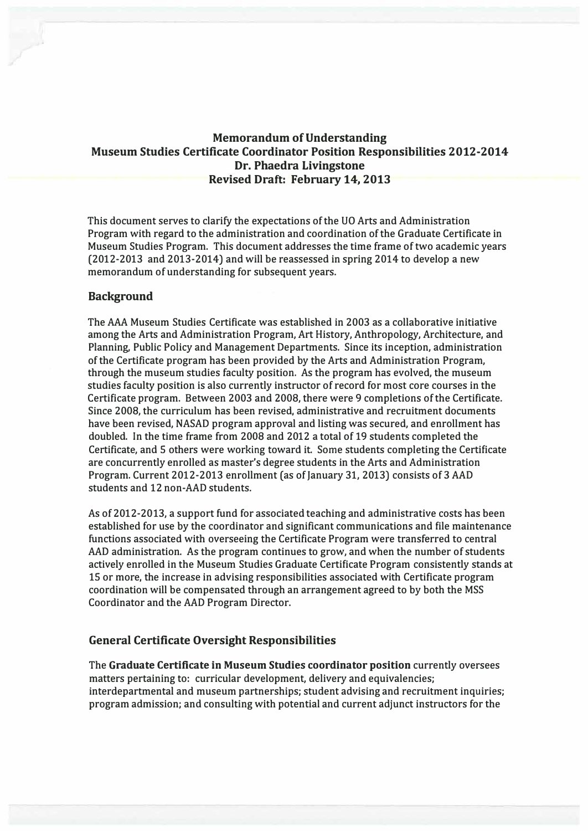## **Memorandum of Understanding Museum Studies Certificate Coordinator Position Responsibilities 2012-2014 Dr. Phaedra Livingstone Revised Draft: February 14, 2013**

This document serves to clarify the expectations of the UO Arts and Administration Program with regard to the administration and coordination of the Graduate Certificate in Museum Studies Program. This document addresses the time frame of two academic years (2012-2013 and 2013-2014) and will be reassessed in spring 2014 to develop a new memorandum of understanding for subsequent years.

## **Background**

The AAA Museum Studies Certificate was established in 2003 as a collaborative initiative among the Arts and Administration Program, Art History, Anthropology, Architecture, and Planning, Public Policy and Management Departments. Since its inception, administration of the Certificate program has been provided by the Arts and Administration Program, through the museum studies faculty position. As the program has evolved, the museum studies faculty position is also currently instructor of record for most core courses in the Certificate program. Between 2003 and 2008, there were 9 completions of the Certificate. Since 2008, the curriculum has been revised, administrative and recruitment documents have been revised, NASAD program approval and listing was secured, and enrollment has doubled. In the time frame from 2008 and 2012 a total of 19 students completed the Certificate, and 5 others were working toward it. Some students completing the Certificate are concurrently enrolled as master's degree students in the Arts and Administration Program. Current 2012-2013 enrollment (as of January 31, 2013) consists of 3 AAD students and 12 non-AAD students.

As of 2012-2013, a support fund for associated teaching and administrative costs has been established for use by the coordinator and significant communications and file maintenance functions associated with overseeing the Certificate Program were transferred to central AAD administration. As the program continues to grow, and when the number of students actively enrolled in the Museum Studies Graduate Certificate Program consistently stands at 15 or more, the increase in advising responsibilities associated with Certificate program coordination will be compensated through an arrangement agreed to by both the MSS Coordinator and the AAD Program Director.

## **General Certificate Oversight Responsibilities**

The **Graduate Certificate in Museum Studies coordinator position** currently oversees matters pertaining to: curricular development, delivery and equivalencies; interdepartmental and museum partnerships; student advising and recruitment inquiries; program admission; and consulting with potential and current adjunct instructors for the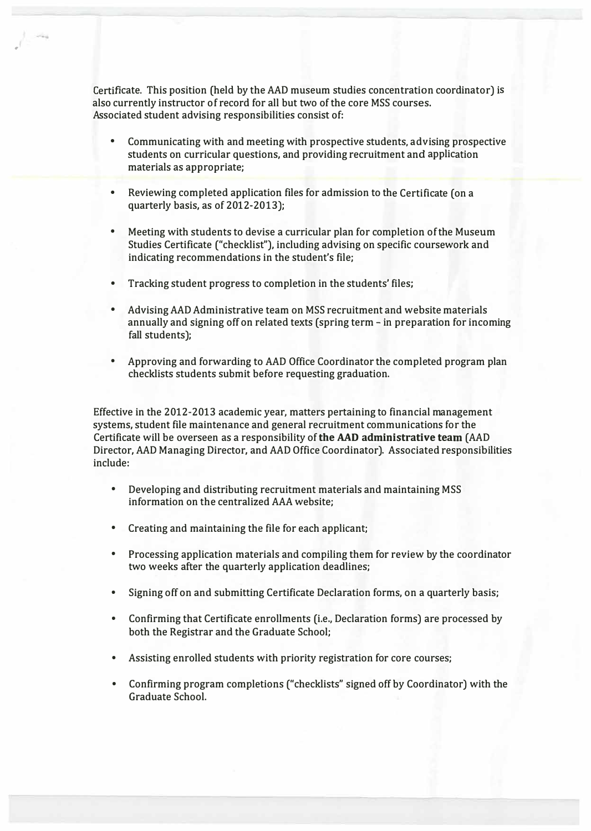Certificate. This position (held by the AAD museum studies concentration coordinator) is also currently instructor ofrecord for all but two of the core MSS courses. Associated student advising responsibilities consist of:

- Communicating with and meeting with prospective students, advising prospective students on curricular questions, and providing recruitment and application materials as appropriate;
- Reviewing completed application files for admission to the Certificate (on a quarterly basis, as of 2012-2013);
- Meeting with students to devise a curricular plan for completion of the Museum Studies Certificate ("checklist"), including advising on specific coursework and indicating recommendations in the student's file;
- Tracking student progress to completion in the students' files;

.,

- Advising AAD Administrative team on MSS recruitment and website materials annually and signing off on related texts (spring term - in preparation for incoming fall students);
- Approving and forwarding to AAD Office Coordinator the completed program plan checklists students submit before requesting graduation.

Effective in the 2012-2013 academic year, matters pertaining to financial management systems, student file maintenance and general recruitment communications for the Certificate will be overseen as a responsibility of **the AAD administrative team** (AAD Director, AAD Managing Director, and AAD Office Coordinator). Associated responsibilities include:

- Developing and distributing recruitment materials and maintaining MSS information on the centralized AAA website;
- Creating and maintaining the file for each applicant;
- Processing application materials and compiling them for review by the coordinator two weeks after the quarterly application deadlines;
- Signing off on and submitting Certificate Declaration forms, on a quarterly basis;
- Confirming that Certificate enrollments (i.e., Declaration forms) are processed by both the Registrar and the Graduate School;
- Assisting enrolled students with priority registration for core courses;
- Confirming program completions ("checklists" signed off by Coordinator) with the Graduate School.